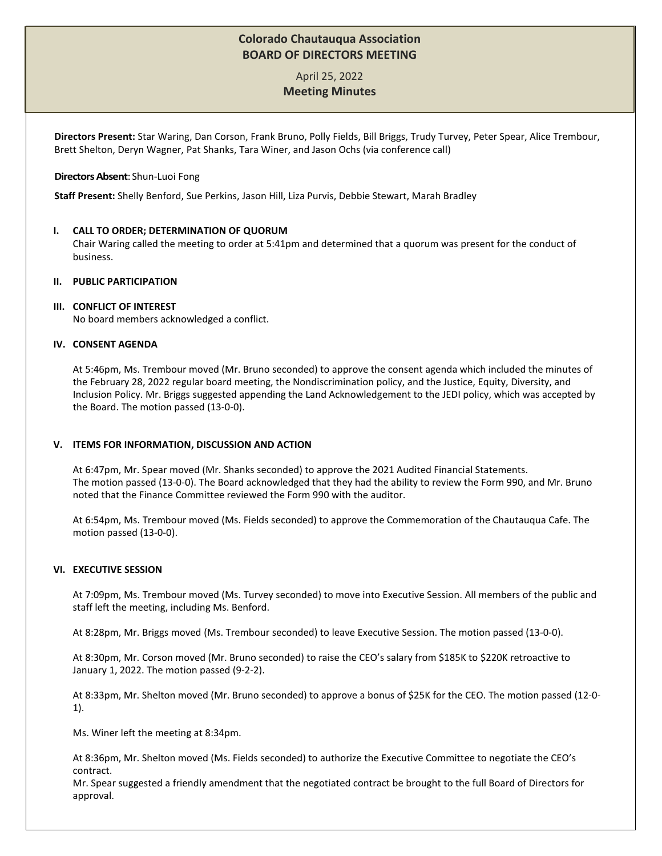## **Colorado Chautauqua Association BOARD OF DIRECTORS MEETING**

# April 25, 2022 **Meeting Minutes**

**Directors Present:** Star Waring, Dan Corson, Frank Bruno, Polly Fields, Bill Briggs, Trudy Turvey, Peter Spear, Alice Trembour, Brett Shelton, Deryn Wagner, Pat Shanks, Tara Winer, and Jason Ochs (via conference call)

#### **Directors Absent**: Shun-Luoi Fong

**Staff Present:** Shelly Benford, Sue Perkins, Jason Hill, Liza Purvis, Debbie Stewart, Marah Bradley

## **I. CALL TO ORDER; DETERMINATION OF QUORUM**

Chair Waring called the meeting to order at 5:41pm and determined that a quorum was present for the conduct of business.

#### **II. PUBLIC PARTICIPATION**

#### **III. CONFLICT OF INTEREST**

No board members acknowledged a conflict.

## **IV. CONSENT AGENDA**

At 5:46pm, Ms. Trembour moved (Mr. Bruno seconded) to approve the consent agenda which included the minutes of the February 28, 2022 regular board meeting, the Nondiscrimination policy, and the Justice, Equity, Diversity, and Inclusion Policy. Mr. Briggs suggested appending the Land Acknowledgement to the JEDI policy, which was accepted by the Board. The motion passed (13-0-0).

## **V. ITEMS FOR INFORMATION, DISCUSSION AND ACTION**

At 6:47pm, Mr. Spear moved (Mr. Shanks seconded) to approve the 2021 Audited Financial Statements. The motion passed (13-0-0). The Board acknowledged that they had the ability to review the Form 990, and Mr. Bruno noted that the Finance Committee reviewed the Form 990 with the auditor.

At 6:54pm, Ms. Trembour moved (Ms. Fields seconded) to approve the Commemoration of the Chautauqua Cafe. The motion passed (13-0-0).

#### **VI. EXECUTIVE SESSION**

At 7:09pm, Ms. Trembour moved (Ms. Turvey seconded) to move into Executive Session. All members of the public and staff left the meeting, including Ms. Benford.

At 8:28pm, Mr. Briggs moved (Ms. Trembour seconded) to leave Executive Session. The motion passed (13-0-0).

At 8:30pm, Mr. Corson moved (Mr. Bruno seconded) to raise the CEO's salary from \$185K to \$220K retroactive to January 1, 2022. The motion passed (9-2-2).

At 8:33pm, Mr. Shelton moved (Mr. Bruno seconded) to approve a bonus of \$25K for the CEO. The motion passed (12-0- 1).

Ms. Winer left the meeting at 8:34pm.

At 8:36pm, Mr. Shelton moved (Ms. Fields seconded) to authorize the Executive Committee to negotiate the CEO's contract.

Mr. Spear suggested a friendly amendment that the negotiated contract be brought to the full Board of Directors for approval.